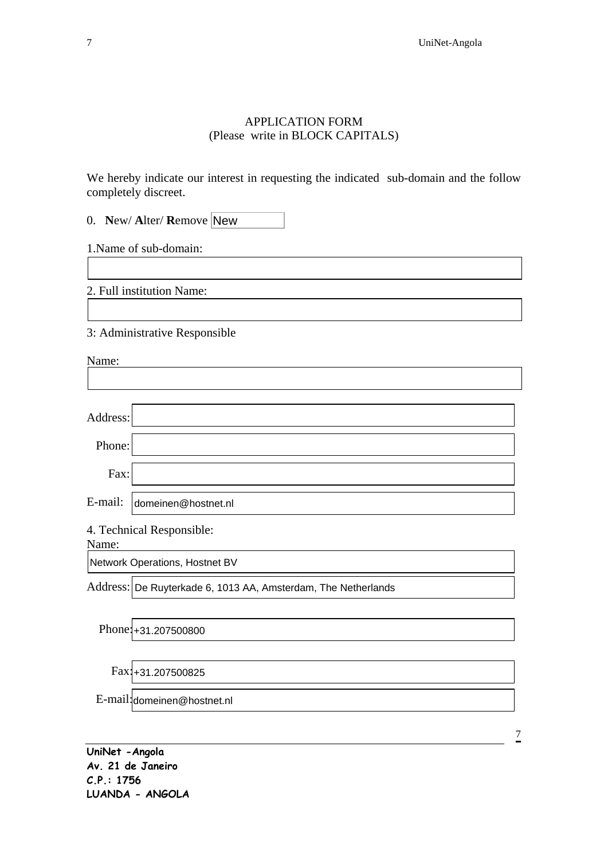## APPLICATION FORM (Please write in BLOCK CAPITALS)

We hereby indicate our interest in requesting the indicated sub-domain and the follow completely discreet.

| 0. New/Alter/Remove New |  |
|-------------------------|--|
|-------------------------|--|

1.Name of sub-domain:

2. Full institution Name:

3: Administrative Responsible

**UniNet -Angola Av. 21 de Janeiro C.P.: 1756 LUANDA - ANGOLA**  7